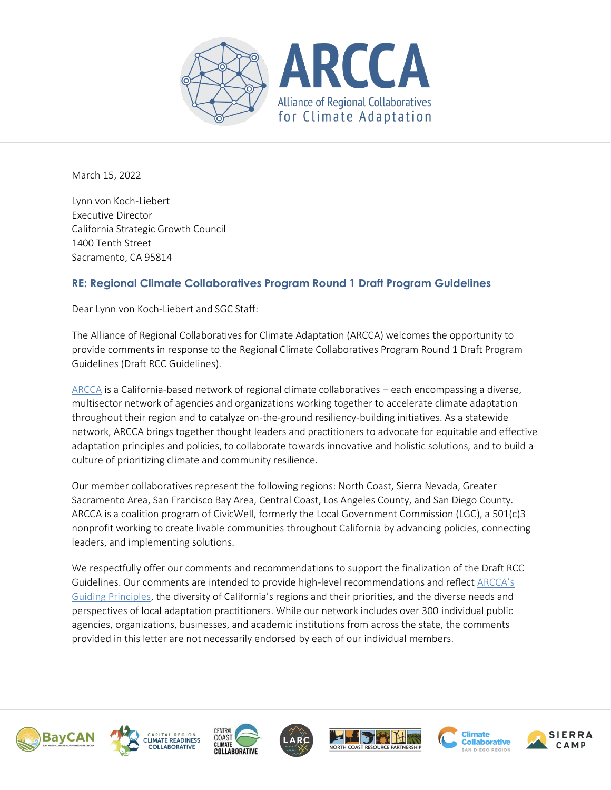

March 15, 2022

Lynn von Koch-Liebert Executive Director California Strategic Growth Council 1400 Tenth Street Sacramento, CA 95814

# **RE: Regional Climate Collaboratives Program Round 1 Draft Program Guidelines**

Dear Lynn von Koch-Liebert and SGC Staff:

The Alliance of Regional Collaboratives for Climate Adaptation (ARCCA) welcomes the opportunity to provide comments in response to the Regional Climate Collaboratives Program Round 1 Draft Program Guidelines (Draft RCC Guidelines).

[ARCCA](https://arccacalifornia.org/) is a California-based network of regional climate collaboratives – each encompassing a diverse, multisector network of agencies and organizations working together to accelerate climate adaptation throughout their region and to catalyze on-the-ground resiliency-building initiatives. As a statewide network, ARCCA brings together thought leaders and practitioners to advocate for equitable and effective adaptation principles and policies, to collaborate towards innovative and holistic solutions, and to build a culture of prioritizing climate and community resilience.

Our member collaboratives represent the following regions: North Coast, Sierra Nevada, Greater Sacramento Area, San Francisco Bay Area, Central Coast, Los Angeles County, and San Diego County. ARCCA is a coalition program of CivicWell, formerly the Local Government Commission (LGC), a 501(c)3 nonprofit working to create livable communities throughout California by advancing policies, connecting leaders, and implementing solutions.

We respectfully offer our comments and recommendations to support the finalization of the Draft RCC Guidelines. Our comments are intended to provide high-level recommendations and reflect [ARCCA's](https://arccacalifornia.org/arcca-guiding-principles/)  [Guiding Principles](https://arccacalifornia.org/arcca-guiding-principles/), the diversity of California's regions and their priorities, and the diverse needs and perspectives of local adaptation practitioners. While our network includes over 300 individual public agencies, organizations, businesses, and academic institutions from across the state, the comments provided in this letter are not necessarily endorsed by each of our individual members.











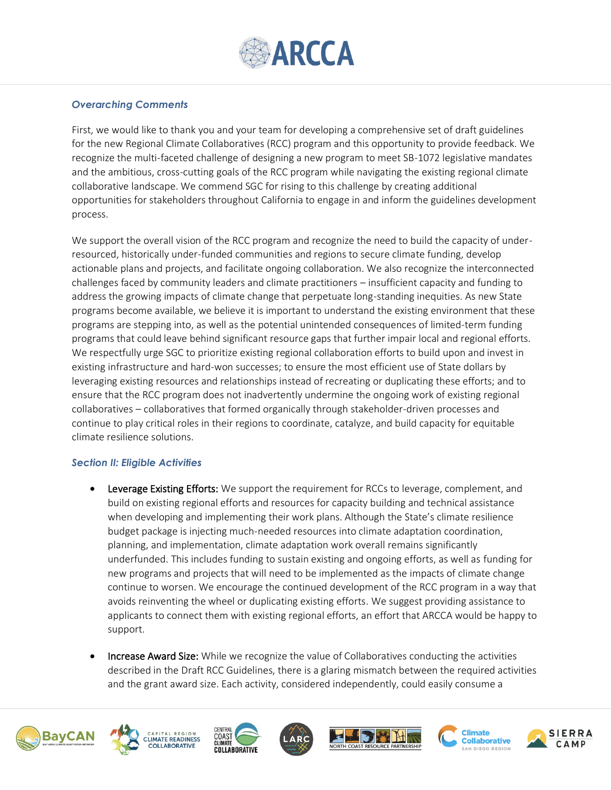

#### *Overarching Comments*

First, we would like to thank you and your team for developing a comprehensive set of draft guidelines for the new Regional Climate Collaboratives (RCC) program and this opportunity to provide feedback. We recognize the multi-faceted challenge of designing a new program to meet SB-1072 legislative mandates and the ambitious, cross-cutting goals of the RCC program while navigating the existing regional climate collaborative landscape. We commend SGC for rising to this challenge by creating additional opportunities for stakeholders throughout California to engage in and inform the guidelines development process.

We support the overall vision of the RCC program and recognize the need to build the capacity of underresourced, historically under-funded communities and regions to secure climate funding, develop actionable plans and projects, and facilitate ongoing collaboration. We also recognize the interconnected challenges faced by community leaders and climate practitioners – insufficient capacity and funding to address the growing impacts of climate change that perpetuate long-standing inequities. As new State programs become available, we believe it is important to understand the existing environment that these programs are stepping into, as well as the potential unintended consequences of limited-term funding programs that could leave behind significant resource gaps that further impair local and regional efforts. We respectfully urge SGC to prioritize existing regional collaboration efforts to build upon and invest in existing infrastructure and hard-won successes; to ensure the most efficient use of State dollars by leveraging existing resources and relationships instead of recreating or duplicating these efforts; and to ensure that the RCC program does not inadvertently undermine the ongoing work of existing regional collaboratives – collaboratives that formed organically through stakeholder-driven processes and continue to play critical roles in their regions to coordinate, catalyze, and build capacity for equitable climate resilience solutions.

#### *Section II: Eligible Activities*

- **Leverage Existing Efforts:** We support the requirement for RCCs to leverage, complement, and build on existing regional efforts and resources for capacity building and technical assistance when developing and implementing their work plans. Although the State's climate resilience budget package is injecting much-needed resources into climate adaptation coordination, planning, and implementation, climate adaptation work overall remains significantly underfunded. This includes funding to sustain existing and ongoing efforts, as well as funding for new programs and projects that will need to be implemented as the impacts of climate change continue to worsen. We encourage the continued development of the RCC program in a way that avoids reinventing the wheel or duplicating existing efforts. We suggest providing assistance to applicants to connect them with existing regional efforts, an effort that ARCCA would be happy to support.
- Increase Award Size: While we recognize the value of Collaboratives conducting the activities described in the Draft RCC Guidelines, there is a glaring mismatch between the required activities and the grant award size. Each activity, considered independently, could easily consume a











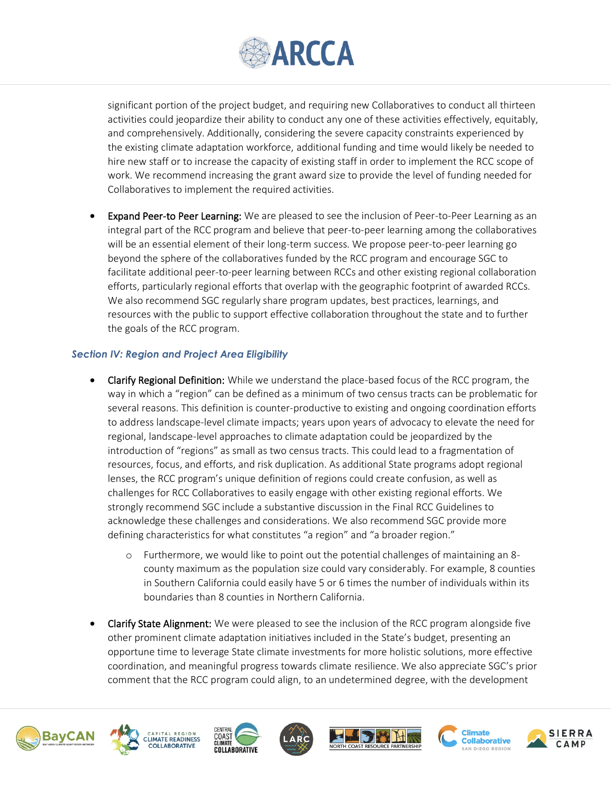

significant portion of the project budget, and requiring new Collaboratives to conduct all thirteen activities could jeopardize their ability to conduct any one of these activities effectively, equitably, and comprehensively. Additionally, considering the severe capacity constraints experienced by the existing climate adaptation workforce, additional funding and time would likely be needed to hire new staff or to increase the capacity of existing staff in order to implement the RCC scope of work. We recommend increasing the grant award size to provide the level of funding needed for Collaboratives to implement the required activities.

**Expand Peer-to Peer Learning:** We are pleased to see the inclusion of Peer-to-Peer Learning as an integral part of the RCC program and believe that peer-to-peer learning among the collaboratives will be an essential element of their long-term success. We propose peer-to-peer learning go beyond the sphere of the collaboratives funded by the RCC program and encourage SGC to facilitate additional peer-to-peer learning between RCCs and other existing regional collaboration efforts, particularly regional efforts that overlap with the geographic footprint of awarded RCCs. We also recommend SGC regularly share program updates, best practices, learnings, and resources with the public to support effective collaboration throughout the state and to further the goals of the RCC program.

## *Section IV: Region and Project Area Eligibility*

- Clarify Regional Definition: While we understand the place-based focus of the RCC program, the way in which a "region" can be defined as a minimum of two census tracts can be problematic for several reasons. This definition is counter-productive to existing and ongoing coordination efforts to address landscape-level climate impacts; years upon years of advocacy to elevate the need for regional, landscape-level approaches to climate adaptation could be jeopardized by the introduction of "regions" as small as two census tracts. This could lead to a fragmentation of resources, focus, and efforts, and risk duplication. As additional State programs adopt regional lenses, the RCC program's unique definition of regions could create confusion, as well as challenges for RCC Collaboratives to easily engage with other existing regional efforts. We strongly recommend SGC include a substantive discussion in the Final RCC Guidelines to acknowledge these challenges and considerations. We also recommend SGC provide more defining characteristics for what constitutes "a region" and "a broader region."
	- o Furthermore, we would like to point out the potential challenges of maintaining an 8 county maximum as the population size could vary considerably. For example, 8 counties in Southern California could easily have 5 or 6 times the number of individuals within its boundaries than 8 counties in Northern California.
- Clarify State Alignment: We were pleased to see the inclusion of the RCC program alongside five other prominent climate adaptation initiatives included in the State's budget, presenting an opportune time to leverage State climate investments for more holistic solutions, more effective coordination, and meaningful progress towards climate resilience. We also appreciate SGC's prior comment that the RCC program could align, to an undetermined degree, with the development











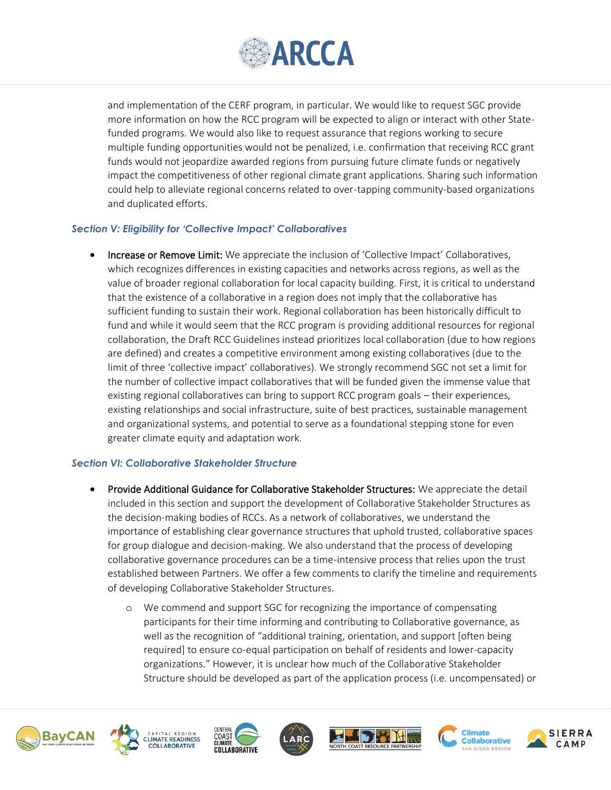

and implementation of the CERF program, in particular. We would like to request SGC provide more information on how the RCC program will be expected to align or interact with other Statefunded programs. We would also like to request assurance that regions working to secure multiple funding opportunities would not be penalized, i.e. confirmation that receiving RCC grant funds would not jeopardize awarded regions from pursuing future climate funds or negatively impact the competitiveness of other regional climate grant applications. Sharing such information could help to alleviate regional concerns related to over-tapping community-based organizations and duplicated efforts.

## *Section V: Eligibility for 'Collective Impact' Collaboratives*

• Increase or Remove Limit: We appreciate the inclusion of 'Collective Impact' Collaboratives, which recognizes differences in existing capacities and networks across regions, as well as the value of broader regional collaboration for local capacity building. First, it is critical to understand that the existence of a collaborative in a region does not imply that the collaborative has sufficient funding to sustain their work. Regional collaboration has been historically difficult to fund and while it would seem that the RCC program is providing additional resources for regional collaboration, the Draft RCC Guidelines instead prioritizes local collaboration (due to how regions are defined) and creates a competitive environment among existing collaboratives (due to the limit of three 'collective impact' collaboratives). We strongly recommend SGC not set a limit for the number of collective impact collaboratives that will be funded given the immense value that existing regional collaboratives can bring to support RCC program goals – their experiences, existing relationships and social infrastructure, suite of best practices, sustainable management and organizational systems, and potential to serve as a foundational stepping stone for even greater climate equity and adaptation work.

#### *Section VI: Collaborative Stakeholder Structure*

- Provide Additional Guidance for Collaborative Stakeholder Structures: We appreciate the detail included in this section and support the development of Collaborative Stakeholder Structures as the decision-making bodies of RCCs. As a network of collaboratives, we understand the importance of establishing clear governance structures that uphold trusted, collaborative spaces for group dialogue and decision-making. We also understand that the process of developing collaborative governance procedures can be a time-intensive process that relies upon the trust established between Partners. We offer a few comments to clarify the timeline and requirements of developing Collaborative Stakeholder Structures.
	- o We commend and support SGC for recognizing the importance of compensating participants for their time informing and contributing to Collaborative governance, as well as the recognition of "additional training, orientation, and support [often being required] to ensure co-equal participation on behalf of residents and lower-capacity organizations." However, it is unclear how much of the Collaborative Stakeholder Structure should be developed as part of the application process (i.e. uncompensated) or











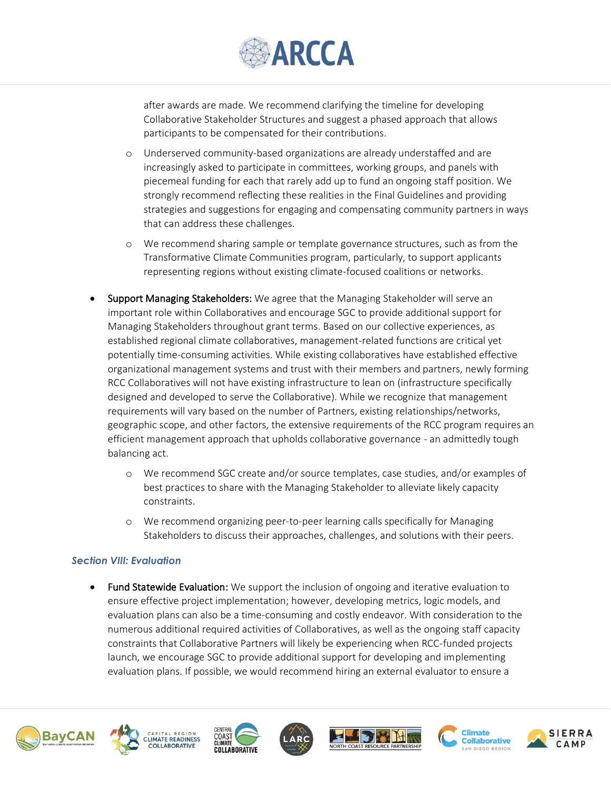

after awards are made. We recommend clarifying the timeline for developing Collaborative Stakeholder Structures and suggest a phased approach that allows participants to be compensated for their contributions.

- o Underserved community-based organizations are already understaffed and are increasingly asked to participate in committees, working groups, and panels with piecemeal funding for each that rarely add up to fund an ongoing staff position. We strongly recommend reflecting these realities in the Final Guidelines and providing strategies and suggestions for engaging and compensating community partners in ways that can address these challenges.
- o We recommend sharing sample or template governance structures, such as from the Transformative Climate Communities program, particularly, to support applicants representing regions without existing climate-focused coalitions or networks.
- Support Managing Stakeholders: We agree that the Managing Stakeholder will serve an important role within Collaboratives and encourage SGC to provide additional support for Managing Stakeholders throughout grant terms. Based on our collective experiences, as established regional climate collaboratives, management-related functions are critical yet potentially time-consuming activities. While existing collaboratives have established effective organizational management systems and trust with their members and partners, newly forming RCC Collaboratives will not have existing infrastructure to lean on (infrastructure specifically designed and developed to serve the Collaborative). While we recognize that management requirements will vary based on the number of Partners, existing relationships/networks, geographic scope, and other factors, the extensive requirements of the RCC program requires an efficient management approach that upholds collaborative governance - an admittedly tough balancing act.
	- o We recommend SGC create and/or source templates, case studies, and/or examples of best practices to share with the Managing Stakeholder to alleviate likely capacity constraints.
	- o We recommend organizing peer-to-peer learning calls specifically for Managing Stakeholders to discuss their approaches, challenges, and solutions with their peers.

## *Section VIII: Evaluation*

Fund Statewide Evaluation: We support the inclusion of ongoing and iterative evaluation to ensure effective project implementation; however, developing metrics, logic models, and evaluation plans can also be a time-consuming and costly endeavor. With consideration to the numerous additional required activities of Collaboratives, as well as the ongoing staff capacity constraints that Collaborative Partners will likely be experiencing when RCC-funded projects launch, we encourage SGC to provide additional support for developing and implementing evaluation plans. If possible, we would recommend hiring an external evaluator to ensure a













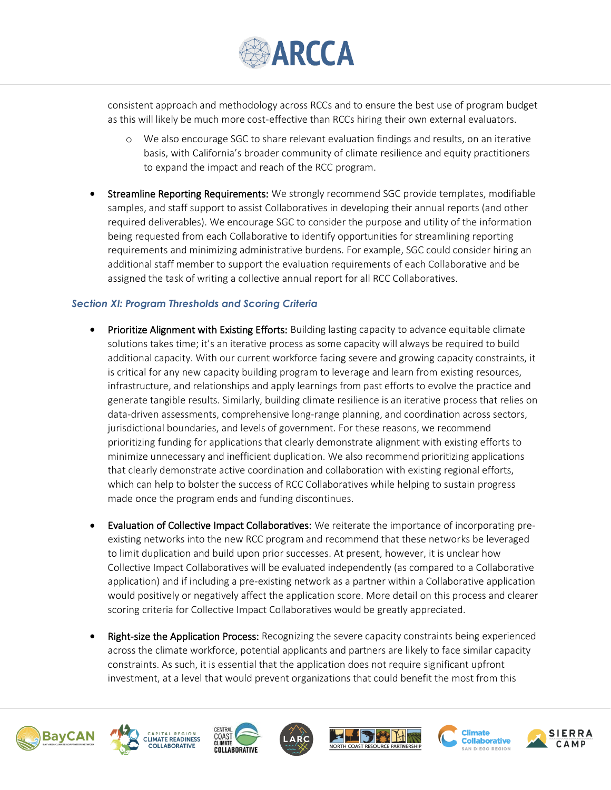

consistent approach and methodology across RCCs and to ensure the best use of program budget as this will likely be much more cost-effective than RCCs hiring their own external evaluators.

- o We also encourage SGC to share relevant evaluation findings and results, on an iterative basis, with California's broader community of climate resilience and equity practitioners to expand the impact and reach of the RCC program.
- Streamline Reporting Requirements: We strongly recommend SGC provide templates, modifiable samples, and staff support to assist Collaboratives in developing their annual reports (and other required deliverables). We encourage SGC to consider the purpose and utility of the information being requested from each Collaborative to identify opportunities for streamlining reporting requirements and minimizing administrative burdens. For example, SGC could consider hiring an additional staff member to support the evaluation requirements of each Collaborative and be assigned the task of writing a collective annual report for all RCC Collaboratives.

## *Section XI: Program Thresholds and Scoring Criteria*

- Prioritize Alignment with Existing Efforts: Building lasting capacity to advance equitable climate solutions takes time; it's an iterative process as some capacity will always be required to build additional capacity. With our current workforce facing severe and growing capacity constraints, it is critical for any new capacity building program to leverage and learn from existing resources, infrastructure, and relationships and apply learnings from past efforts to evolve the practice and generate tangible results. Similarly, building climate resilience is an iterative process that relies on data-driven assessments, comprehensive long-range planning, and coordination across sectors, jurisdictional boundaries, and levels of government. For these reasons, we recommend prioritizing funding for applications that clearly demonstrate alignment with existing efforts to minimize unnecessary and inefficient duplication. We also recommend prioritizing applications that clearly demonstrate active coordination and collaboration with existing regional efforts, which can help to bolster the success of RCC Collaboratives while helping to sustain progress made once the program ends and funding discontinues.
- Evaluation of Collective Impact Collaboratives: We reiterate the importance of incorporating preexisting networks into the new RCC program and recommend that these networks be leveraged to limit duplication and build upon prior successes. At present, however, it is unclear how Collective Impact Collaboratives will be evaluated independently (as compared to a Collaborative application) and if including a pre-existing network as a partner within a Collaborative application would positively or negatively affect the application score. More detail on this process and clearer scoring criteria for Collective Impact Collaboratives would be greatly appreciated.
- Right-size the Application Process: Recognizing the severe capacity constraints being experienced across the climate workforce, potential applicants and partners are likely to face similar capacity constraints. As such, it is essential that the application does not require significant upfront investment, at a level that would prevent organizations that could benefit the most from this